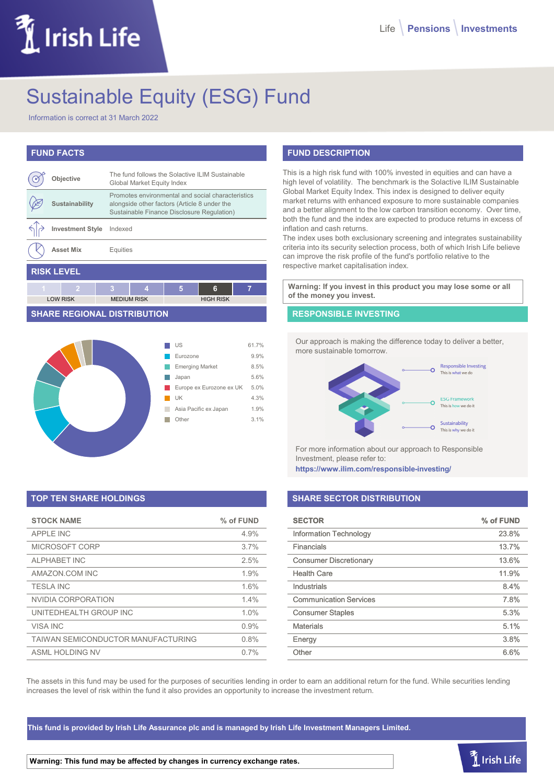# LIrish Life

# Sustainable Equity (ESG) Fund

Information is correct at 31 March 2022

# **FUND FACTS**

|                   | Objective               |   | The fund follows the Solactive ILIM Sustainable<br>Global Market Equity Index                                                                   |   |                  |   |
|-------------------|-------------------------|---|-------------------------------------------------------------------------------------------------------------------------------------------------|---|------------------|---|
|                   | Sustainability          |   | Promotes environmental and social characteristics<br>alongside other factors (Article 8 under the<br>Sustainable Finance Disclosure Regulation) |   |                  |   |
|                   | <b>Investment Style</b> |   | Indexed                                                                                                                                         |   |                  |   |
|                   | <b>Asset Mix</b>        |   | Equities                                                                                                                                        |   |                  |   |
| <b>RISK LEVEL</b> |                         |   |                                                                                                                                                 |   |                  |   |
| 4                 | 2                       | 3 | 4                                                                                                                                               | 5 | 6                | 7 |
|                   | <b>LOW RISK</b>         |   | <b>MEDIUM RISK</b>                                                                                                                              |   | <b>HIGH RISK</b> |   |

## **SHARE REGIONAL DISTRIBUTION**



# **TOP TEN SHARE HOLDINGS**

| <b>STOCK NAME</b>                  | % of FUND |
|------------------------------------|-----------|
| <b>APPLE INC</b>                   | 4.9%      |
| MICROSOFT CORP                     | 3.7%      |
| AI PHARFT INC                      | 2.5%      |
| AMAZON.COM INC                     | 1.9%      |
| <b>TESLA INC</b>                   | 1.6%      |
| NVIDIA CORPORATION                 | 1.4%      |
| UNITEDHEALTH GROUP INC             | 1.0%      |
| VISA INC                           | 0.9%      |
| TAIWAN SEMICONDUCTOR MANUFACTURING | 0.8%      |
| ASMI HOI DING NV                   | 0.7%      |

# **FUND DESCRIPTION**

This is a high risk fund with 100% invested in equities and can have a high level of volatility. The benchmark is the Solactive ILIM Sustainable Global Market Equity Index. This index is designed to deliver equity market returns with enhanced exposure to more sustainable companies and a better alignment to the low carbon transition economy. Over time, both the fund and the index are expected to produce returns in excess of inflation and cash returns.

The index uses both exclusionary screening and integrates sustainability criteria into its security selection process, both of which Irish Life believe can improve the risk profile of the fund's portfolio relative to the respective market capitalisation index.

**Warning: If you invest in this product you may lose some or all of the money you invest.**

### **RESPONSIBLE INVESTING**

Our approach is making the difference today to deliver a better, more sustainable tomorrow.



For more information about our approach to Responsible Investment, please refer to:

**https://www.ilim.com/responsible-investing/**

# **SHARE SECTOR DISTRIBUTION**

| <b>SECTOR</b>                 | % of FUND |
|-------------------------------|-----------|
| <b>Information Technology</b> | 23.8%     |
| Financials                    | 13.7%     |
| <b>Consumer Discretionary</b> | 13.6%     |
| <b>Health Care</b>            | 11.9%     |
| Industrials                   | 8.4%      |
| <b>Communication Services</b> | 7.8%      |
| <b>Consumer Staples</b>       | 5.3%      |
| <b>Materials</b>              | 5.1%      |
| Energy                        | 3.8%      |
| Other                         | 6.6%      |

The assets in this fund may be used for the purposes of securities lending in order to earn an additional return for the fund. While securities lending increases the level of risk within the fund it also provides an opportunity to increase the investment return.

**This fund is provided by Irish Life Assurance plc and is managed by Irish Life Investment Managers Limited.**

**Warning: This fund may be affected by changes in currency exchange rates.**

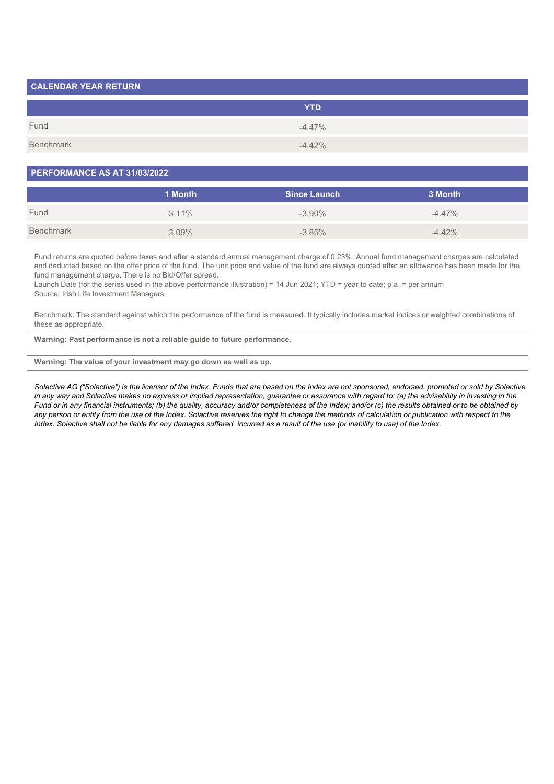| <b>CALENDAR YEAR RETURN</b> |            |
|-----------------------------|------------|
|                             | <b>YTD</b> |
| Fund                        | $-4.47\%$  |
| Benchmark                   | $-4.42%$   |

### **PERFORMANCE AS AT 31/03/2022**

|           | 1 Month  | <b>Since Launch</b> | 3 Month   |
|-----------|----------|---------------------|-----------|
| Fund      | $3.11\%$ | $-3.90\%$           | $-4.47\%$ |
| Benchmark | $3.09\%$ | $-3.85\%$           | $-4.42%$  |

Fund returns are quoted before taxes and after a standard annual management charge of 0.23%. Annual fund management charges are calculated and deducted based on the offer price of the fund. The unit price and value of the fund are always quoted after an allowance has been made for the fund management charge. There is no Bid/Offer spread.

Launch Date (for the series used in the above performance illustration) = 14 Jun 2021; YTD = year to date; p.a. = per annum Source: Irish Life Investment Managers

Benchmark: The standard against which the performance of the fund is measured. It typically includes market indices or weighted combinations of these as appropriate.

**Warning: Past performance is not a reliable guide to future performance.**

#### **Warning: The value of your investment may go down as well as up.**

*Solactive AG ("Solactive") is the licensor of the Index. Funds that are based on the Index are not sponsored, endorsed, promoted or sold by Solactive* in any way and Solactive makes no express or implied representation, guarantee or assurance with regard to: (a) the advisability in investing in the *Fund or in any financial instruments; (b) the quality, accuracy and/or completeness of the Index; and/or (c) the results obtained or to be obtained by any person or entity from the use of the Index. Solactive reserves the right to change the methods of calculation or publication with respect to the Index. Solactive shall not be liable for any damages suffered incurred as a result of the use (or inability to use) of the Index.*